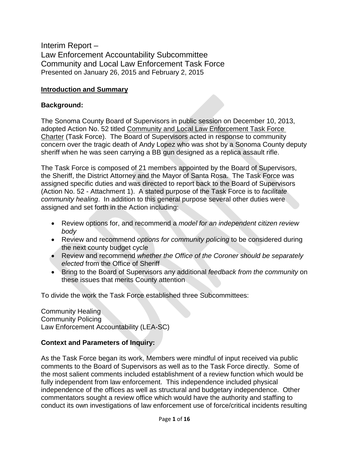Interim Report – Law Enforcement Accountability Subcommittee Community and Local Law Enforcement Task Force Presented on January 26, 2015 and February 2, 2015

#### **Introduction and Summary**

#### **Background:**

The Sonoma County Board of Supervisors in public session on December 10, 2013, adopted Action No. 52 titled Community and Local Law Enforcement Task Force Charter (Task Force). The Board of Supervisors acted in response to community concern over the tragic death of Andy Lopez who was shot by a Sonoma County deputy sheriff when he was seen carrying a BB gun designed as a replica assault rifle.

The Task Force is composed of 21 members appointed by the Board of Supervisors, the Sheriff, the District Attorney and the Mayor of Santa Rosa. The Task Force was assigned specific duties and was directed to report back to the Board of Supervisors (Action No. 52 - Attachment 1). A stated purpose of the Task Force is to *facilitate community healing*. In addition to this general purpose several other duties were assigned and set forth in the Action including:

- Review options for, and recommend a *model for an independent citizen review body*
- Review and recommend *options for community policing* to be considered during the next county budget cycle
- Review and recommend *whether the Office of the Coroner should be separately elected* from the Office of Sheriff
- Bring to the Board of Supervisors any additional *feedback from the community* on these issues that merits County attention

To divide the work the Task Force established three Subcommittees:

Community Healing Community Policing Law Enforcement Accountability (LEA-SC)

#### **Context and Parameters of Inquiry:**

As the Task Force began its work, Members were mindful of input received via public comments to the Board of Supervisors as well as to the Task Force directly. Some of the most salient comments included establishment of a review function which would be fully independent from law enforcement. This independence included physical independence of the offices as well as structural and budgetary independence. Other commentators sought a review office which would have the authority and staffing to conduct its own investigations of law enforcement use of force/critical incidents resulting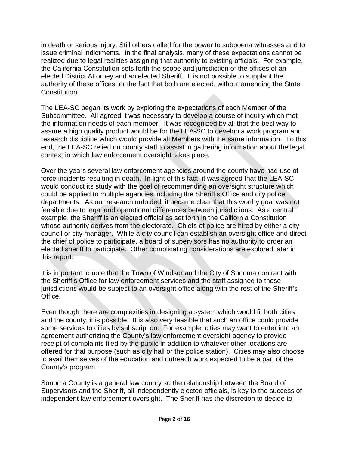in death or serious injury. Still others called for the power to subpoena witnesses and to issue criminal indictments. In the final analysis, many of these expectations cannot be realized due to legal realities assigning that authority to existing officials. For example, the California Constitution sets forth the scope and jurisdiction of the offices of an elected District Attorney and an elected Sheriff. It is not possible to supplant the authority of these offices, or the fact that both are elected, without amending the State Constitution.

The LEA-SC began its work by exploring the expectations of each Member of the Subcommittee. All agreed it was necessary to develop a course of inquiry which met the information needs of each member. It was recognized by all that the best way to assure a high quality product would be for the LEA-SC to develop a work program and research discipline which would provide all Members with the same information. To this end, the LEA-SC relied on county staff to assist in gathering information about the legal context in which law enforcement oversight takes place.

Over the years several law enforcement agencies around the county have had use of force incidents resulting in death. In light of this fact, it was agreed that the LEA-SC would conduct its study with the goal of recommending an oversight structure which could be applied to multiple agencies including the Sheriff's Office and city police departments. As our research unfolded, it became clear that this worthy goal was not feasible due to legal and operational differences between jurisdictions. As a central example, the Sheriff is an elected official as set forth in the California Constitution whose authority derives from the electorate. Chiefs of police are hired by either a city council or city manager. While a city council can establish an oversight office and direct the chief of police to participate, a board of supervisors has no authority to order an elected sheriff to participate. Other complicating considerations are explored later in this report.

It is important to note that the Town of Windsor and the City of Sonoma contract with the Sheriff's Office for law enforcement services and the staff assigned to those jurisdictions would be subject to an oversight office along with the rest of the Sheriff's Office.

Even though there are complexities in designing a system which would fit both cities and the county, it is possible. It is also very feasible that such an office could provide some services to cities by subscription. For example, cities may want to enter into an agreement authorizing the County's law enforcement oversight agency to provide receipt of complaints filed by the public in addition to whatever other locations are offered for that purpose (such as city hall or the police station). Cities may also choose to avail themselves of the education and outreach work expected to be a part of the County's program.

Sonoma County is a general law county so the relationship between the Board of Supervisors and the Sheriff, all independently elected officials, is key to the success of independent law enforcement oversight. The Sheriff has the discretion to decide to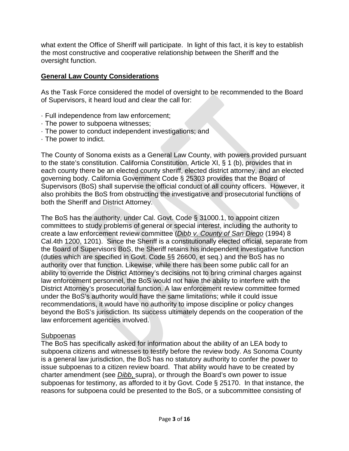what extent the Office of Sheriff will participate. In light of this fact, it is key to establish the most constructive and cooperative relationship between the Sheriff and the oversight function.

#### **General Law County Considerations**

As the Task Force considered the model of oversight to be recommended to the Board of Supervisors, it heard loud and clear the call for:

- · Full independence from law enforcement;
- · The power to subpoena witnesses;
- · The power to conduct independent investigations; and
- · The power to indict.

The County of Sonoma exists as a General Law County, with powers provided pursuant to the state's constitution. California Constitution, Article XI, § 1 (b), provides that in each county there be an elected county sheriff, elected district attorney, and an elected governing body. California Government Code § 25303 provides that the Board of Supervisors (BoS) shall supervise the official conduct of all county officers. However, it also prohibits the BoS from obstructing the investigative and prosecutorial functions of both the Sheriff and District Attorney.

The BoS has the authority, under Cal. Govt. Code § 31000.1, to appoint citizen committees to study problems of general or special interest, including the authority to create a law enforcement review committee (*Dibb v. County of San Diego* (1994) 8 Cal.4th 1200, 1201). Since the Sheriff is a constitutionally elected official, separate from the Board of Supervisors BoS, the Sheriff retains his independent investigative function (duties which are specified in Govt. Code §§ 26600, et seq.) and the BoS has no authority over that function. Likewise, while there has been some public call for an ability to override the District Attorney's decisions not to bring criminal charges against law enforcement personnel, the BoS would not have the ability to interfere with the District Attorney's prosecutorial function. A law enforcement review committee formed under the BoS's authority would have the same limitations; while it could issue recommendations, it would have no authority to impose discipline or policy changes beyond the BoS's jurisdiction. Its success ultimately depends on the cooperation of the law enforcement agencies involved.

#### **Subpoenas**

The BoS has specifically asked for information about the ability of an LEA body to subpoena citizens and witnesses to testify before the review body. As Sonoma County is a general law jurisdiction, the BoS has no statutory authority to confer the power to issue subpoenas to a citizen review board. That ability would have to be created by charter amendment (see *Dibb*, supra), or through the Board's own power to issue subpoenas for testimony, as afforded to it by Govt. Code § 25170. In that instance, the reasons for subpoena could be presented to the BoS, or a subcommittee consisting of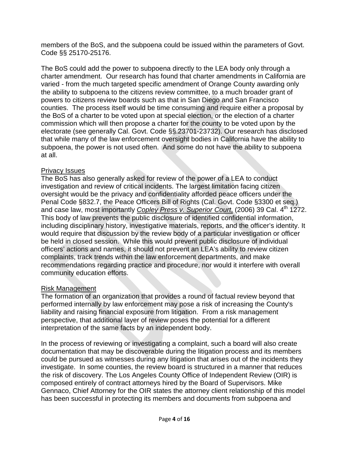members of the BoS, and the subpoena could be issued within the parameters of Govt. Code §§ 25170-25176.

The BoS could add the power to subpoena directly to the LEA body only through a charter amendment. Our research has found that charter amendments in California are varied - from the much targeted specific amendment of Orange County awarding only the ability to subpoena to the citizens review committee, to a much broader grant of powers to citizens review boards such as that in San Diego and San Francisco counties. The process itself would be time consuming and require either a proposal by the BoS of a charter to be voted upon at special election, or the election of a charter commission which will then propose a charter for the county to be voted upon by the electorate (see generally Cal. Govt. Code §§.23701-23732). Our research has disclosed that while many of the law enforcement oversight bodies in California have the ability to subpoena, the power is not used often. And some do not have the ability to subpoena at all.

### Privacy Issues

The BoS has also generally asked for review of the power of a LEA to conduct investigation and review of critical incidents. The largest limitation facing citizen oversight would be the privacy and confidentiality afforded peace officers under the Penal Code §832.7, the Peace Officers Bill of Rights (Cal. Govt. Code §3300 et seq.) and case law, most importantly *Copley Press v. Superior Court*, (2006) 39 Cal. 4<sup>th</sup> 1272. This body of law prevents the public disclosure of identified confidential information, including disciplinary history, investigative materials, reports, and the officer's identity. It would require that discussion by the review body of a particular investigation or officer be held in closed session. While this would prevent public disclosure of individual officers' actions and names, it should not prevent an LEA's ability to review citizen complaints, track trends within the law enforcement departments, and make recommendations regarding practice and procedure, nor would it interfere with overall community education efforts.

### Risk Management

The formation of an organization that provides a round of factual review beyond that performed internally by law enforcement may pose a risk of increasing the County's liability and raising financial exposure from litigation. From a risk management perspective, that additional layer of review poses the potential for a different interpretation of the same facts by an independent body.

In the process of reviewing or investigating a complaint, such a board will also create documentation that may be discoverable during the litigation process and its members could be pursued as witnesses during any litigation that arises out of the incidents they investigate. In some counties, the review board is structured in a manner that reduces the risk of discovery. The Los Angeles County Office of Independent Review (OIR) is composed entirely of contract attorneys hired by the Board of Supervisors. Mike Gennaco, Chief Attorney for the OIR states the attorney client relationship of this model has been successful in protecting its members and documents from subpoena and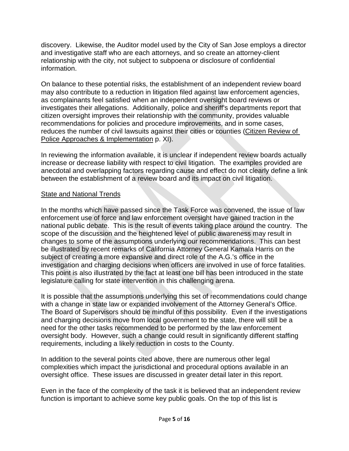discovery. Likewise, the Auditor model used by the City of San Jose employs a director and investigative staff who are each attorneys, and so create an attorney-client relationship with the city, not subject to subpoena or disclosure of confidential information.

On balance to these potential risks, the establishment of an independent review board may also contribute to a reduction in litigation filed against law enforcement agencies, as complainants feel satisfied when an independent oversight board reviews or investigates their allegations. Additionally, police and sheriff's departments report that citizen oversight improves their relationship with the community, provides valuable recommendations for policies and procedure improvements, and in some cases, reduces the number of civil lawsuits against their cities or counties (Citizen Review of Police Approaches & Implementation p. XI).

In reviewing the information available, it is unclear if independent review boards actually increase or decrease liability with respect to civil litigation. The examples provided are anecdotal and overlapping factors regarding cause and effect do not clearly define a link between the establishment of a review board and its impact on civil litigation.

## State and National Trends

In the months which have passed since the Task Force was convened, the issue of law enforcement use of force and law enforcement oversight have gained traction in the national public debate. This is the result of events taking place around the country. The scope of the discussion and the heightened level of public awareness may result in changes to some of the assumptions underlying our recommendations. This can best be illustrated by recent remarks of California Attorney General Kamala Harris on the subject of creating a more expansive and direct role of the A.G.'s office in the investigation and charging decisions when officers are involved in use of force fatalities. This point is also illustrated by the fact at least one bill has been introduced in the state legislature calling for state intervention in this challenging arena.

It is possible that the assumptions underlying this set of recommendations could change with a change in state law or expanded involvement of the Attorney General's Office. The Board of Supervisors should be mindful of this possibility. Even if the investigations and charging decisions move from local government to the state, there will still be a need for the other tasks recommended to be performed by the law enforcement oversight body. However, such a change could result in significantly different staffing requirements, including a likely reduction in costs to the County.

In addition to the several points cited above, there are numerous other legal complexities which impact the jurisdictional and procedural options available in an oversight office. These issues are discussed in greater detail later in this report.

Even in the face of the complexity of the task it is believed that an independent review function is important to achieve some key public goals. On the top of this list is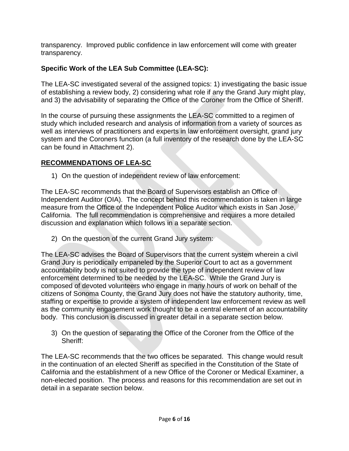transparency. Improved public confidence in law enforcement will come with greater transparency.

# **Specific Work of the LEA Sub Committee (LEA-SC):**

The LEA-SC investigated several of the assigned topics: 1) investigating the basic issue of establishing a review body, 2) considering what role if any the Grand Jury might play, and 3) the advisability of separating the Office of the Coroner from the Office of Sheriff.

In the course of pursuing these assignments the LEA-SC committed to a regimen of study which included research and analysis of information from a variety of sources as well as interviews of practitioners and experts in law enforcement oversight, grand jury system and the Coroners function (a full inventory of the research done by the LEA-SC can be found in Attachment 2).

## **RECOMMENDATIONS OF LEA-SC**

1) On the question of independent review of law enforcement:

The LEA-SC recommends that the Board of Supervisors establish an Office of Independent Auditor (OIA). The concept behind this recommendation is taken in large measure from the Office of the Independent Police Auditor which exists in San Jose, California. The full recommendation is comprehensive and requires a more detailed discussion and explanation which follows in a separate section.

2) On the question of the current Grand Jury system:

The LEA-SC advises the Board of Supervisors that the current system wherein a civil Grand Jury is periodically empaneled by the Superior Court to act as a government accountability body is not suited to provide the type of independent review of law enforcement determined to be needed by the LEA-SC. While the Grand Jury is composed of devoted volunteers who engage in many hours of work on behalf of the citizens of Sonoma County, the Grand Jury does not have the statutory authority, time, staffing or expertise to provide a system of independent law enforcement review as well as the community engagement work thought to be a central element of an accountability body. This conclusion is discussed in greater detail in a separate section below.

3) On the question of separating the Office of the Coroner from the Office of the Sheriff:

The LEA-SC recommends that the two offices be separated. This change would result in the continuation of an elected Sheriff as specified in the Constitution of the State of California and the establishment of a new Office of the Coroner or Medical Examiner, a non-elected position. The process and reasons for this recommendation are set out in detail in a separate section below.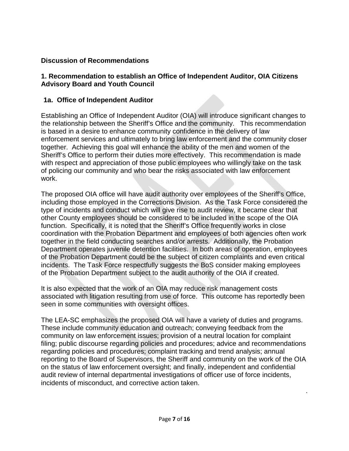# **Discussion of Recommendations**

## **1. Recommendation to establish an Office of Independent Auditor, OIA Citizens Advisory Board and Youth Council**

## **1a. Office of Independent Auditor**

Establishing an Office of Independent Auditor (OIA) will introduce significant changes to the relationship between the Sheriff's Office and the community. This recommendation is based in a desire to enhance community confidence in the delivery of law enforcement services and ultimately to bring law enforcement and the community closer together. Achieving this goal will enhance the ability of the men and women of the Sheriff's Office to perform their duties more effectively. This recommendation is made with respect and appreciation of those public employees who willingly take on the task of policing our community and who bear the risks associated with law enforcement work.

The proposed OIA office will have audit authority over employees of the Sheriff's Office, including those employed in the Corrections Division. As the Task Force considered the type of incidents and conduct which will give rise to audit review, it became clear that other County employees should be considered to be included in the scope of the OIA function. Specifically, it is noted that the Sheriff's Office frequently works in close coordination with the Probation Department and employees of both agencies often work together in the field conducting searches and/or arrests. Additionally, the Probation Department operates juvenile detention facilities. In both areas of operation, employees of the Probation Department could be the subject of citizen complaints and even critical incidents. The Task Force respectfully suggests the BoS consider making employees of the Probation Department subject to the audit authority of the OIA if created.

It is also expected that the work of an OIA may reduce risk management costs associated with litigation resulting from use of force. This outcome has reportedly been seen in some communities with oversight offices.

The LEA-SC emphasizes the proposed OIA will have a variety of duties and programs. These include community education and outreach; conveying feedback from the community on law enforcement issues; provision of a neutral location for complaint filing; public discourse regarding policies and procedures; advice and recommendations regarding policies and procedures; complaint tracking and trend analysis; annual reporting to the Board of Supervisors, the Sheriff and community on the work of the OIA on the status of law enforcement oversight; and finally, independent and confidential audit review of internal departmental investigations of officer use of force incidents, incidents of misconduct, and corrective action taken.

.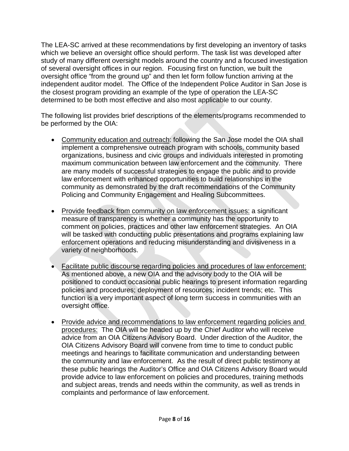The LEA-SC arrived at these recommendations by first developing an inventory of tasks which we believe an oversight office should perform. The task list was developed after study of many different oversight models around the country and a focused investigation of several oversight offices in our region. Focusing first on function, we built the oversight office "from the ground up" and then let form follow function arriving at the independent auditor model. The Office of the Independent Police Auditor in San Jose is the closest program providing an example of the type of operation the LEA-SC determined to be both most effective and also most applicable to our county.

The following list provides brief descriptions of the elements/programs recommended to be performed by the OIA:

- Community education and outreach: following the San Jose model the OIA shall implement a comprehensive outreach program with schools, community based organizations, business and civic groups and individuals interested in promoting maximum communication between law enforcement and the community. There are many models of successful strategies to engage the public and to provide law enforcement with enhanced opportunities to build relationships in the community as demonstrated by the draft recommendations of the Community Policing and Community Engagement and Healing Subcommittees.
- Provide feedback from community on law enforcement issues: a significant measure of transparency is whether a community has the opportunity to comment on policies, practices and other law enforcement strategies. An OIA will be tasked with conducting public presentations and programs explaining law enforcement operations and reducing misunderstanding and divisiveness in a variety of neighborhoods.
- Facilitate public discourse regarding policies and procedures of law enforcement: As mentioned above, a new OIA and the advisory body to the OIA will be positioned to conduct occasional public hearings to present information regarding policies and procedures; deployment of resources; incident trends; etc. This function is a very important aspect of long term success in communities with an oversight office.
- Provide advice and recommendations to law enforcement regarding policies and procedures: The OIA will be headed up by the Chief Auditor who will receive advice from an OIA Citizens Advisory Board. Under direction of the Auditor, the OIA Citizens Advisory Board will convene from time to time to conduct public meetings and hearings to facilitate communication and understanding between the community and law enforcement. As the result of direct public testimony at these public hearings the Auditor's Office and OIA Citizens Advisory Board would provide advice to law enforcement on policies and procedures, training methods and subject areas, trends and needs within the community, as well as trends in complaints and performance of law enforcement.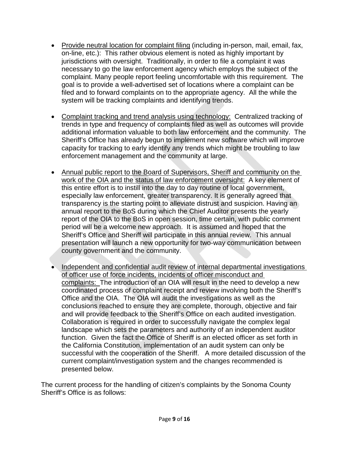- Provide neutral location for complaint filing (including in-person, mail, email, fax, on-line, etc.): This rather obvious element is noted as highly important by jurisdictions with oversight. Traditionally, in order to file a complaint it was necessary to go the law enforcement agency which employs the subject of the complaint. Many people report feeling uncomfortable with this requirement. The goal is to provide a well-advertised set of locations where a complaint can be filed and to forward complaints on to the appropriate agency. All the while the system will be tracking complaints and identifying trends.
- Complaint tracking and trend analysis using technology: Centralized tracking of trends in type and frequency of complaints filed as well as outcomes will provide additional information valuable to both law enforcement and the community. The Sheriff's Office has already begun to implement new software which will improve capacity for tracking to early identify any trends which might be troubling to law enforcement management and the community at large.
- Annual public report to the Board of Supervisors, Sheriff and community on the work of the OIA and the status of law enforcement oversight: A key element of this entire effort is to instill into the day to day routine of local government, especially law enforcement, greater transparency. It is generally agreed that transparency is the starting point to alleviate distrust and suspicion. Having an annual report to the BoS during which the Chief Auditor presents the yearly report of the OIA to the BoS in open session, time certain, with public comment period will be a welcome new approach. It is assumed and hoped that the Sheriff's Office and Sheriff will participate in this annual review. This annual presentation will launch a new opportunity for two-way communication between county government and the community.
- Independent and confidential audit review of internal departmental investigations of officer use of force incidents, incidents of officer misconduct and complaints: The introduction of an OIA will result in the need to develop a new coordinated process of complaint receipt and review involving both the Sheriff's Office and the OIA. The OIA will audit the investigations as well as the conclusions reached to ensure they are complete, thorough, objective and fair and will provide feedback to the Sheriff's Office on each audited investigation. Collaboration is required in order to successfully navigate the complex legal landscape which sets the parameters and authority of an independent auditor function. Given the fact the Office of Sheriff is an elected officer as set forth in the California Constitution, implementation of an audit system can only be successful with the cooperation of the Sheriff. A more detailed discussion of the current complaint/investigation system and the changes recommended is presented below.

The current process for the handling of citizen's complaints by the Sonoma County Sheriff's Office is as follows: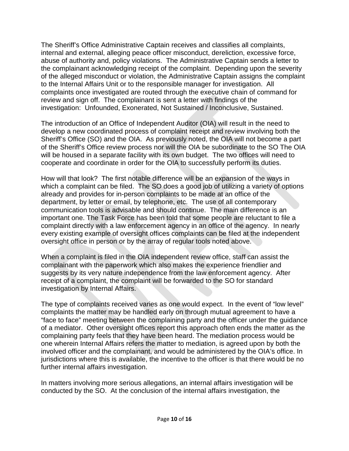The Sheriff's Office Administrative Captain receives and classifies all complaints, internal and external, alleging peace officer misconduct, dereliction, excessive force, abuse of authority and, policy violations. The Administrative Captain sends a letter to the complainant acknowledging receipt of the complaint. Depending upon the severity of the alleged misconduct or violation, the Administrative Captain assigns the complaint to the Internal Affairs Unit or to the responsible manager for investigation. All complaints once investigated are routed through the executive chain of command for review and sign off. The complainant is sent a letter with findings of the investigation: Unfounded, Exonerated, Not Sustained / Inconclusive, Sustained.

The introduction of an Office of Independent Auditor (OIA) will result in the need to develop a new coordinated process of complaint receipt and review involving both the Sheriff's Office (SO) and the OIA. As previously noted, the OIA will not become a part of the Sheriff's Office review process nor will the OIA be subordinate to the SO The OIA will be housed in a separate facility with its own budget. The two offices will need to cooperate and coordinate in order for the OIA to successfully perform its duties.

How will that look? The first notable difference will be an expansion of the ways in which a complaint can be filed. The SO does a good job of utilizing a variety of options already and provides for in-person complaints to be made at an office of the department, by letter or email, by telephone, etc. The use of all contemporary communication tools is advisable and should continue. The main difference is an important one. The Task Force has been told that some people are reluctant to file a complaint directly with a law enforcement agency in an office of the agency. In nearly every existing example of oversight offices complaints can be filed at the independent oversight office in person or by the array of regular tools noted above.

When a complaint is filed in the OIA independent review office, staff can assist the complainant with the paperwork which also makes the experience friendlier and suggests by its very nature independence from the law enforcement agency. After receipt of a complaint, the complaint will be forwarded to the SO for standard investigation by Internal Affairs.

The type of complaints received varies as one would expect. In the event of "low level" complaints the matter may be handled early on through mutual agreement to have a "face to face" meeting between the complaining party and the officer under the guidance of a mediator. Other oversight offices report this approach often ends the matter as the complaining party feels that they have been heard. The mediation process would be one wherein Internal Affairs refers the matter to mediation, is agreed upon by both the involved officer and the complainant, and would be administered by the OIA's office. In jurisdictions where this is available, the incentive to the officer is that there would be no further internal affairs investigation.

In matters involving more serious allegations, an internal affairs investigation will be conducted by the SO. At the conclusion of the internal affairs investigation, the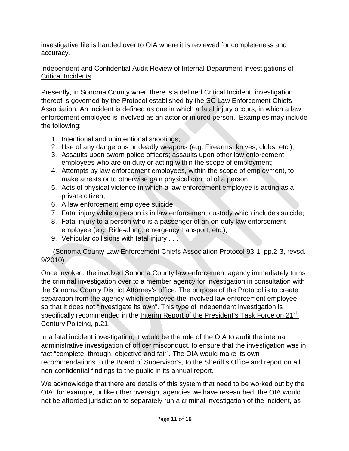investigative file is handed over to OIA where it is reviewed for completeness and accuracy.

## Independent and Confidential Audit Review of Internal Department Investigations of Critical Incidents

Presently, in Sonoma County when there is a defined Critical Incident, investigation thereof is governed by the Protocol established by the SC Law Enforcement Chiefs Association. An incident is defined as one in which a fatal injury occurs, in which a law enforcement employee is involved as an actor or injured person. Examples may include the following:

- 1. Intentional and unintentional shootings;
- 2. Use of any dangerous or deadly weapons (e.g. Firearms, knives, clubs, etc.);
- 3. Assaults upon sworn police officers; assaults upon other law enforcement employees who are on duty or acting within the scope of employment;
- 4. Attempts by law enforcement employees, within the scope of employment, to make arrests or to otherwise gain physical control of a person;
- 5. Acts of physical violence in which a law enforcement employee is acting as a private citizen;
- 6. A law enforcement employee suicide;
- 7. Fatal injury while a person is in law enforcement custody which includes suicide;
- 8. Fatal injury to a person who is a passenger of an on-duty law enforcement employee (e.g. Ride-along, emergency transport, etc.);
- 9. Vehicular collisions with fatal injury . . .

(Sonoma County Law Enforcement Chiefs Association Protocol 93-1, pp.2-3, revsd. 9/2010)

Once invoked, the involved Sonoma County law enforcement agency immediately turns the criminal investigation over to a member agency for investigation in consultation with the Sonoma County District Attorney's office. The purpose of the Protocol is to create separation from the agency which employed the involved law enforcement employee, so that it does not "investigate its own". This type of independent investigation is specifically recommended in the Interim Report of the President's Task Force on 21<sup>st</sup> Century Policing, p.21.

In a fatal incident investigation, it would be the role of the OIA to audit the internal administrative investigation of officer misconduct, to ensure that the investigation was in fact "complete, through, objective and fair". The OIA would make its own recommendations to the Board of Supervisor's, to the Sheriff's Office and report on all non-confidential findings to the public in its annual report.

We acknowledge that there are details of this system that need to be worked out by the OIA; for example, unlike other oversight agencies we have researched, the OIA would not be afforded jurisdiction to separately run a criminal investigation of the incident, as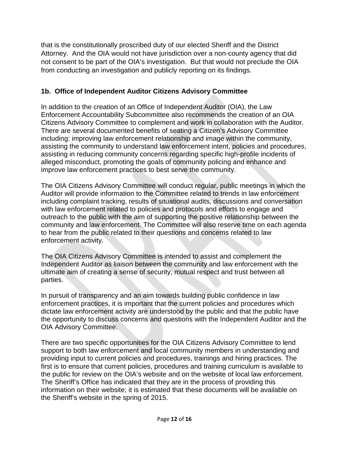that is the constitutionally proscribed duty of our elected Sheriff and the District Attorney. And the OIA would not have jurisdiction over a non-county agency that did not consent to be part of the OIA's investigation. But that would not preclude the OIA from conducting an investigation and publicly reporting on its findings.

# **1b. Office of Independent Auditor Citizens Advisory Committee**

In addition to the creation of an Office of Independent Auditor (OIA), the Law Enforcement Accountability Subcommittee also recommends the creation of an OIA Citizens Advisory Committee to complement and work in collaboration with the Auditor. There are several documented benefits of seating a Citizen's Advisory Committee including: improving law enforcement relationship and image within the community, assisting the community to understand law enforcement intent, policies and procedures, assisting in reducing community concerns regarding specific high-profile incidents of alleged misconduct, promoting the goals of community policing and enhance and improve law enforcement practices to best serve the community.

The OIA Citizens Advisory Committee will conduct regular, public meetings in which the Auditor will provide information to the Committee related to trends in law enforcement including complaint tracking, results of situational audits, discussions and conversation with law enforcement related to policies and protocols and efforts to engage and outreach to the public with the aim of supporting the positive relationship between the community and law enforcement. The Committee will also reserve time on each agenda to hear from the public related to their questions and concerns related to law enforcement activity.

The OIA Citizens Advisory Committee is intended to assist and complement the Independent Auditor as liaison between the community and law enforcement with the ultimate aim of creating a sense of security, mutual respect and trust between all parties.

In pursuit of transparency and an aim towards building public confidence in law enforcement practices, it is important that the current policies and procedures which dictate law enforcement activity are understood by the public and that the public have the opportunity to discuss concerns and questions with the Independent Auditor and the OIA Advisory Committee.

There are two specific opportunities for the OIA Citizens Advisory Committee to lend support to both law enforcement and local community members in understanding and providing input to current policies and procedures, trainings and hiring practices. The first is to ensure that current policies, procedures and training curriculum is available to the public for review on the OIA's website and on the website of local law enforcement. The Sheriff's Office has indicated that they are in the process of providing this information on their website; it is estimated that these documents will be available on the Sheriff's website in the spring of 2015.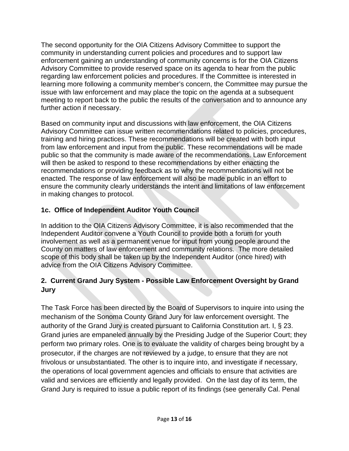The second opportunity for the OIA Citizens Advisory Committee to support the community in understanding current policies and procedures and to support law enforcement gaining an understanding of community concerns is for the OIA Citizens Advisory Committee to provide reserved space on its agenda to hear from the public regarding law enforcement policies and procedures. If the Committee is interested in learning more following a community member's concern, the Committee may pursue the issue with law enforcement and may place the topic on the agenda at a subsequent meeting to report back to the public the results of the conversation and to announce any further action if necessary.

Based on community input and discussions with law enforcement, the OIA Citizens Advisory Committee can issue written recommendations related to policies, procedures, training and hiring practices. These recommendations will be created with both input from law enforcement and input from the public. These recommendations will be made public so that the community is made aware of the recommendations. Law Enforcement will then be asked to respond to these recommendations by either enacting the recommendations or providing feedback as to why the recommendations will not be enacted. The response of law enforcement will also be made public in an effort to ensure the community clearly understands the intent and limitations of law enforcement in making changes to protocol.

# **1c. Office of Independent Auditor Youth Council**

In addition to the OIA Citizens Advisory Committee, it is also recommended that the Independent Auditor convene a Youth Council to provide both a forum for youth involvement as well as a permanent venue for input from young people around the County on matters of law enforcement and community relations. The more detailed scope of this body shall be taken up by the Independent Auditor (once hired) with advice from the OIA Citizens Advisory Committee.

# **2. Current Grand Jury System - Possible Law Enforcement Oversight by Grand Jury**

The Task Force has been directed by the Board of Supervisors to inquire into using the mechanism of the Sonoma County Grand Jury for law enforcement oversight. The authority of the Grand Jury is created pursuant to California Constitution art. I, § 23. Grand juries are empaneled annually by the Presiding Judge of the Superior Court; they perform two primary roles. One is to evaluate the validity of charges being brought by a prosecutor, if the charges are not reviewed by a judge, to ensure that they are not frivolous or unsubstantiated. The other is to inquire into, and investigate if necessary, the operations of local government agencies and officials to ensure that activities are valid and services are efficiently and legally provided. On the last day of its term, the Grand Jury is required to issue a public report of its findings (see generally Cal. Penal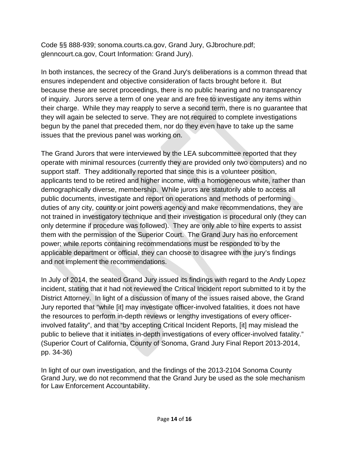Code §§ 888-939; sonoma.courts.ca.gov, Grand Jury, GJbrochure.pdf; glenncourt.ca.gov, Court Information: Grand Jury).

In both instances, the secrecy of the Grand Jury's deliberations is a common thread that ensures independent and objective consideration of facts brought before it. But because these are secret proceedings, there is no public hearing and no transparency of inquiry. Jurors serve a term of one year and are free to investigate any items within their charge. While they may reapply to serve a second term, there is no guarantee that they will again be selected to serve. They are not required to complete investigations begun by the panel that preceded them, nor do they even have to take up the same issues that the previous panel was working on.

The Grand Jurors that were interviewed by the LEA subcommittee reported that they operate with minimal resources (currently they are provided only two computers) and no support staff. They additionally reported that since this is a volunteer position, applicants tend to be retired and higher income, with a homogeneous white, rather than demographically diverse, membership. While jurors are statutorily able to access all public documents, investigate and report on operations and methods of performing duties of any city, county or joint powers agency and make recommendations, they are not trained in investigatory technique and their investigation is procedural only (they can only determine if procedure was followed). They are only able to hire experts to assist them with the permission of the Superior Court. The Grand Jury has no enforcement power; while reports containing recommendations must be responded to by the applicable department or official, they can choose to disagree with the jury's findings and not implement the recommendations.

In July of 2014, the seated Grand Jury issued its findings with regard to the Andy Lopez incident, stating that it had not reviewed the Critical Incident report submitted to it by the District Attorney. In light of a discussion of many of the issues raised above, the Grand Jury reported that "while [it] may investigate officer-involved fatalities, it does not have the resources to perform in-depth reviews or lengthy investigations of every officerinvolved fatality", and that "by accepting Critical Incident Reports, [it] may mislead the public to believe that it initiates in-depth investigations of every officer-involved fatality." (Superior Court of California, County of Sonoma, Grand Jury Final Report 2013-2014, pp. 34-36)

In light of our own investigation, and the findings of the 2013-2104 Sonoma County Grand Jury, we do not recommend that the Grand Jury be used as the sole mechanism for Law Enforcement Accountability.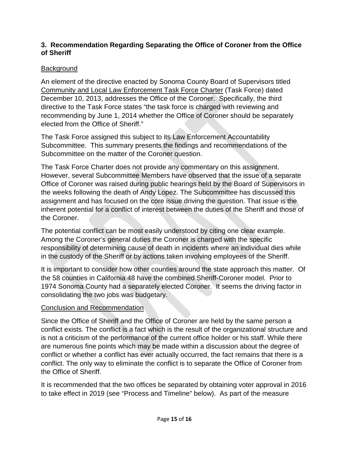### **3. Recommendation Regarding Separating the Office of Coroner from the Office of Sheriff**

# **Background**

An element of the directive enacted by Sonoma County Board of Supervisors titled Community and Local Law Enforcement Task Force Charter (Task Force) dated December 10, 2013, addresses the Office of the Coroner. Specifically, the third directive to the Task Force states "the task force is charged with reviewing and recommending by June 1, 2014 whether the Office of Coroner should be separately elected from the Office of Sheriff."

The Task Force assigned this subject to its Law Enforcement Accountability Subcommittee. This summary presents the findings and recommendations of the Subcommittee on the matter of the Coroner question.

The Task Force Charter does not provide any commentary on this assignment. However, several Subcommittee Members have observed that the issue of a separate Office of Coroner was raised during public hearings held by the Board of Supervisors in the weeks following the death of Andy Lopez. The Subcommittee has discussed this assignment and has focused on the core issue driving the question. That issue is the inherent potential for a conflict of interest between the duties of the Sheriff and those of the Coroner.

The potential conflict can be most easily understood by citing one clear example. Among the Coroner's general duties the Coroner is charged with the specific responsibility of determining cause of death in incidents where an individual dies while in the custody of the Sheriff or by actions taken involving employees of the Sheriff.

It is important to consider how other counties around the state approach this matter. Of the 58 counties in California 48 have the combined Sheriff-Coroner model. Prior to 1974 Sonoma County had a separately elected Coroner. It seems the driving factor in consolidating the two jobs was budgetary.

### Conclusion and Recommendation

Since the Office of Sheriff and the Office of Coroner are held by the same person a conflict exists. The conflict is a fact which is the result of the organizational structure and is not a criticism of the performance of the current office holder or his staff. While there are numerous fine points which may be made within a discussion about the degree of conflict or whether a conflict has ever actually occurred, the fact remains that there is a conflict. The only way to eliminate the conflict is to separate the Office of Coroner from the Office of Sheriff.

It is recommended that the two offices be separated by obtaining voter approval in 2016 to take effect in 2019 (see "Process and Timeline" below). As part of the measure